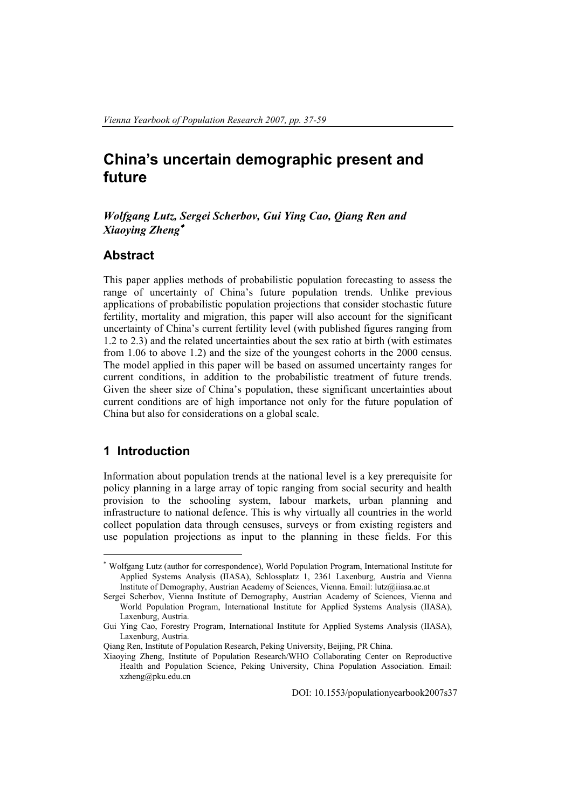# **China's uncertain demographic present and future**

### *Wolfgang Lutz, Sergei Scherbov, Gui Ying Cao, Qiang Ren and Xiaoying Zheng*<sup>∗</sup>

## **Abstract**

This paper applies methods of probabilistic population forecasting to assess the range of uncertainty of China's future population trends. Unlike previous applications of probabilistic population projections that consider stochastic future fertility, mortality and migration, this paper will also account for the significant uncertainty of China's current fertility level (with published figures ranging from 1.2 to 2.3) and the related uncertainties about the sex ratio at birth (with estimates from 1.06 to above 1.2) and the size of the youngest cohorts in the 2000 census. The model applied in this paper will be based on assumed uncertainty ranges for current conditions, in addition to the probabilistic treatment of future trends. Given the sheer size of China's population, these significant uncertainties about current conditions are of high importance not only for the future population of China but also for considerations on a global scale.

## **1 Introduction**

 $\overline{a}$ 

Information about population trends at the national level is a key prerequisite for policy planning in a large array of topic ranging from social security and health provision to the schooling system, labour markets, urban planning and infrastructure to national defence. This is why virtually all countries in the world collect population data through censuses, surveys or from existing registers and use population projections as input to the planning in these fields. For this

<sup>∗</sup> Wolfgang Lutz (author for correspondence), World Population Program, International Institute for Applied Systems Analysis (IIASA), Schlossplatz 1, 2361 Laxenburg, Austria and Vienna Institute of Demography, Austrian Academy of Sciences, Vienna. Email: lutz@iiasa.ac.at

Sergei Scherbov, Vienna Institute of Demography, Austrian Academy of Sciences, Vienna and World Population Program, International Institute for Applied Systems Analysis (IIASA), Laxenburg, Austria.

Gui Ying Cao, Forestry Program, International Institute for Applied Systems Analysis (IIASA), Laxenburg, Austria.

Qiang Ren, Institute of Population Research, Peking University, Beijing, PR China.

Xiaoying Zheng, Institute of Population Research/WHO Collaborating Center on Reproductive Health and Population Science, Peking University, China Population Association. Email: xzheng@pku.edu.cn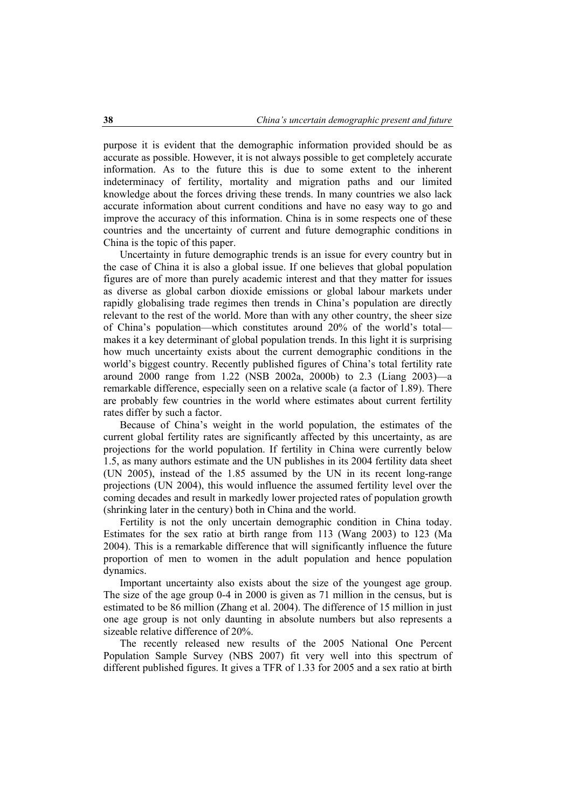purpose it is evident that the demographic information provided should be as accurate as possible. However, it is not always possible to get completely accurate information. As to the future this is due to some extent to the inherent indeterminacy of fertility, mortality and migration paths and our limited knowledge about the forces driving these trends. In many countries we also lack accurate information about current conditions and have no easy way to go and improve the accuracy of this information. China is in some respects one of these countries and the uncertainty of current and future demographic conditions in China is the topic of this paper.

Uncertainty in future demographic trends is an issue for every country but in the case of China it is also a global issue. If one believes that global population figures are of more than purely academic interest and that they matter for issues as diverse as global carbon dioxide emissions or global labour markets under rapidly globalising trade regimes then trends in China's population are directly relevant to the rest of the world. More than with any other country, the sheer size of China's population—which constitutes around 20% of the world's total makes it a key determinant of global population trends. In this light it is surprising how much uncertainty exists about the current demographic conditions in the world's biggest country. Recently published figures of China's total fertility rate around 2000 range from 1.22 (NSB 2002a, 2000b) to 2.3 (Liang 2003)—a remarkable difference, especially seen on a relative scale (a factor of 1.89). There are probably few countries in the world where estimates about current fertility rates differ by such a factor.

Because of China's weight in the world population, the estimates of the current global fertility rates are significantly affected by this uncertainty, as are projections for the world population. If fertility in China were currently below 1.5, as many authors estimate and the UN publishes in its 2004 fertility data sheet (UN 2005), instead of the 1.85 assumed by the UN in its recent long-range projections (UN 2004), this would influence the assumed fertility level over the coming decades and result in markedly lower projected rates of population growth (shrinking later in the century) both in China and the world.

Fertility is not the only uncertain demographic condition in China today. Estimates for the sex ratio at birth range from 113 (Wang 2003) to 123 (Ma 2004). This is a remarkable difference that will significantly influence the future proportion of men to women in the adult population and hence population dynamics.

Important uncertainty also exists about the size of the youngest age group. The size of the age group 0-4 in 2000 is given as 71 million in the census, but is estimated to be 86 million (Zhang et al. 2004). The difference of 15 million in just one age group is not only daunting in absolute numbers but also represents a sizeable relative difference of 20%.

The recently released new results of the 2005 National One Percent Population Sample Survey (NBS 2007) fit very well into this spectrum of different published figures. It gives a TFR of 1.33 for 2005 and a sex ratio at birth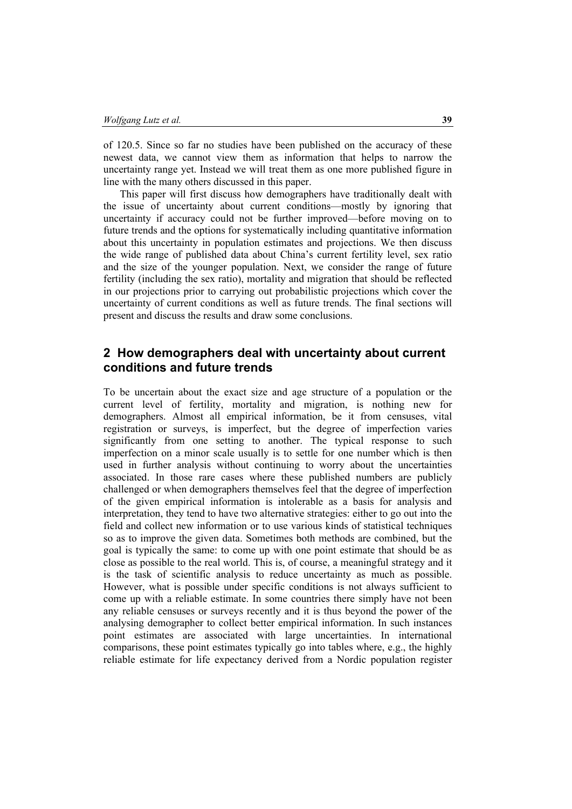of 120.5. Since so far no studies have been published on the accuracy of these newest data, we cannot view them as information that helps to narrow the uncertainty range yet. Instead we will treat them as one more published figure in line with the many others discussed in this paper.

This paper will first discuss how demographers have traditionally dealt with the issue of uncertainty about current conditions—mostly by ignoring that uncertainty if accuracy could not be further improved—before moving on to future trends and the options for systematically including quantitative information about this uncertainty in population estimates and projections. We then discuss the wide range of published data about China's current fertility level, sex ratio and the size of the younger population. Next, we consider the range of future fertility (including the sex ratio), mortality and migration that should be reflected in our projections prior to carrying out probabilistic projections which cover the uncertainty of current conditions as well as future trends. The final sections will present and discuss the results and draw some conclusions.

# **2 How demographers deal with uncertainty about current conditions and future trends**

To be uncertain about the exact size and age structure of a population or the current level of fertility, mortality and migration, is nothing new for demographers. Almost all empirical information, be it from censuses, vital registration or surveys, is imperfect, but the degree of imperfection varies significantly from one setting to another. The typical response to such imperfection on a minor scale usually is to settle for one number which is then used in further analysis without continuing to worry about the uncertainties associated. In those rare cases where these published numbers are publicly challenged or when demographers themselves feel that the degree of imperfection of the given empirical information is intolerable as a basis for analysis and interpretation, they tend to have two alternative strategies: either to go out into the field and collect new information or to use various kinds of statistical techniques so as to improve the given data. Sometimes both methods are combined, but the goal is typically the same: to come up with one point estimate that should be as close as possible to the real world. This is, of course, a meaningful strategy and it is the task of scientific analysis to reduce uncertainty as much as possible. However, what is possible under specific conditions is not always sufficient to come up with a reliable estimate. In some countries there simply have not been any reliable censuses or surveys recently and it is thus beyond the power of the analysing demographer to collect better empirical information. In such instances point estimates are associated with large uncertainties. In international comparisons, these point estimates typically go into tables where, e.g., the highly reliable estimate for life expectancy derived from a Nordic population register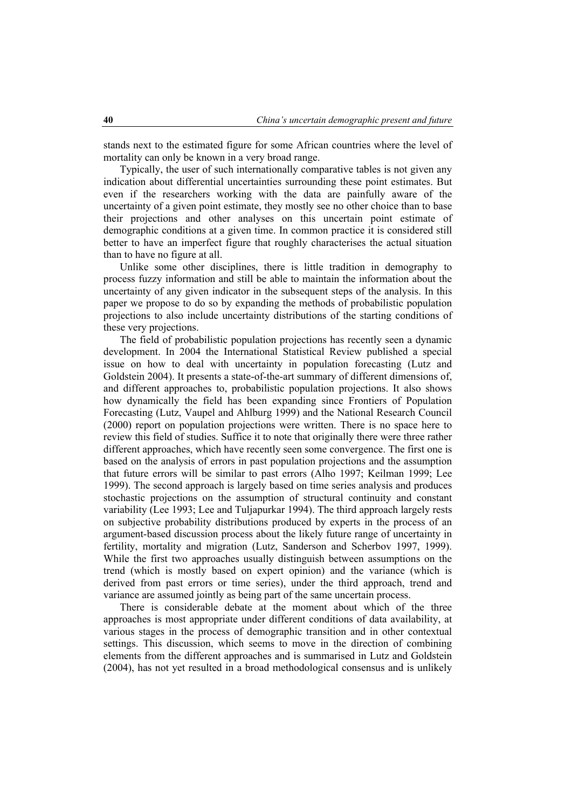stands next to the estimated figure for some African countries where the level of mortality can only be known in a very broad range.

Typically, the user of such internationally comparative tables is not given any indication about differential uncertainties surrounding these point estimates. But even if the researchers working with the data are painfully aware of the uncertainty of a given point estimate, they mostly see no other choice than to base their projections and other analyses on this uncertain point estimate of demographic conditions at a given time. In common practice it is considered still better to have an imperfect figure that roughly characterises the actual situation than to have no figure at all.

Unlike some other disciplines, there is little tradition in demography to process fuzzy information and still be able to maintain the information about the uncertainty of any given indicator in the subsequent steps of the analysis. In this paper we propose to do so by expanding the methods of probabilistic population projections to also include uncertainty distributions of the starting conditions of these very projections.

The field of probabilistic population projections has recently seen a dynamic development. In 2004 the International Statistical Review published a special issue on how to deal with uncertainty in population forecasting (Lutz and Goldstein 2004). It presents a state-of-the-art summary of different dimensions of, and different approaches to, probabilistic population projections. It also shows how dynamically the field has been expanding since Frontiers of Population Forecasting (Lutz, Vaupel and Ahlburg 1999) and the National Research Council (2000) report on population projections were written. There is no space here to review this field of studies. Suffice it to note that originally there were three rather different approaches, which have recently seen some convergence. The first one is based on the analysis of errors in past population projections and the assumption that future errors will be similar to past errors (Alho 1997; Keilman 1999; Lee 1999). The second approach is largely based on time series analysis and produces stochastic projections on the assumption of structural continuity and constant variability (Lee 1993; Lee and Tuljapurkar 1994). The third approach largely rests on subjective probability distributions produced by experts in the process of an argument-based discussion process about the likely future range of uncertainty in fertility, mortality and migration (Lutz, Sanderson and Scherbov 1997, 1999). While the first two approaches usually distinguish between assumptions on the trend (which is mostly based on expert opinion) and the variance (which is derived from past errors or time series), under the third approach, trend and variance are assumed jointly as being part of the same uncertain process.

There is considerable debate at the moment about which of the three approaches is most appropriate under different conditions of data availability, at various stages in the process of demographic transition and in other contextual settings. This discussion, which seems to move in the direction of combining elements from the different approaches and is summarised in Lutz and Goldstein (2004), has not yet resulted in a broad methodological consensus and is unlikely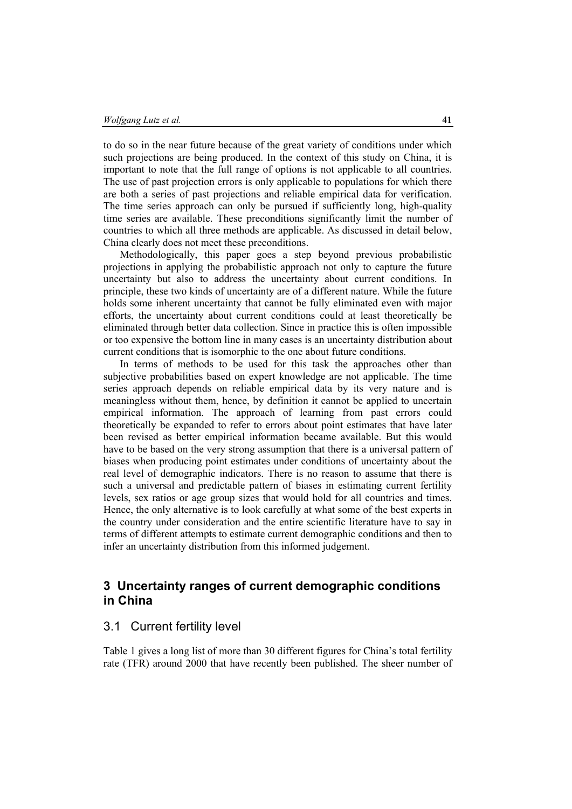to do so in the near future because of the great variety of conditions under which such projections are being produced. In the context of this study on China, it is important to note that the full range of options is not applicable to all countries. The use of past projection errors is only applicable to populations for which there are both a series of past projections and reliable empirical data for verification. The time series approach can only be pursued if sufficiently long, high-quality time series are available. These preconditions significantly limit the number of countries to which all three methods are applicable. As discussed in detail below, China clearly does not meet these preconditions.

Methodologically, this paper goes a step beyond previous probabilistic projections in applying the probabilistic approach not only to capture the future uncertainty but also to address the uncertainty about current conditions. In principle, these two kinds of uncertainty are of a different nature. While the future holds some inherent uncertainty that cannot be fully eliminated even with major efforts, the uncertainty about current conditions could at least theoretically be eliminated through better data collection. Since in practice this is often impossible or too expensive the bottom line in many cases is an uncertainty distribution about current conditions that is isomorphic to the one about future conditions.

In terms of methods to be used for this task the approaches other than subjective probabilities based on expert knowledge are not applicable. The time series approach depends on reliable empirical data by its very nature and is meaningless without them, hence, by definition it cannot be applied to uncertain empirical information. The approach of learning from past errors could theoretically be expanded to refer to errors about point estimates that have later been revised as better empirical information became available. But this would have to be based on the very strong assumption that there is a universal pattern of biases when producing point estimates under conditions of uncertainty about the real level of demographic indicators. There is no reason to assume that there is such a universal and predictable pattern of biases in estimating current fertility levels, sex ratios or age group sizes that would hold for all countries and times. Hence, the only alternative is to look carefully at what some of the best experts in the country under consideration and the entire scientific literature have to say in terms of different attempts to estimate current demographic conditions and then to infer an uncertainty distribution from this informed judgement.

## **3 Uncertainty ranges of current demographic conditions in China**

### 3.1 Current fertility level

Table 1 gives a long list of more than 30 different figures for China's total fertility rate (TFR) around 2000 that have recently been published. The sheer number of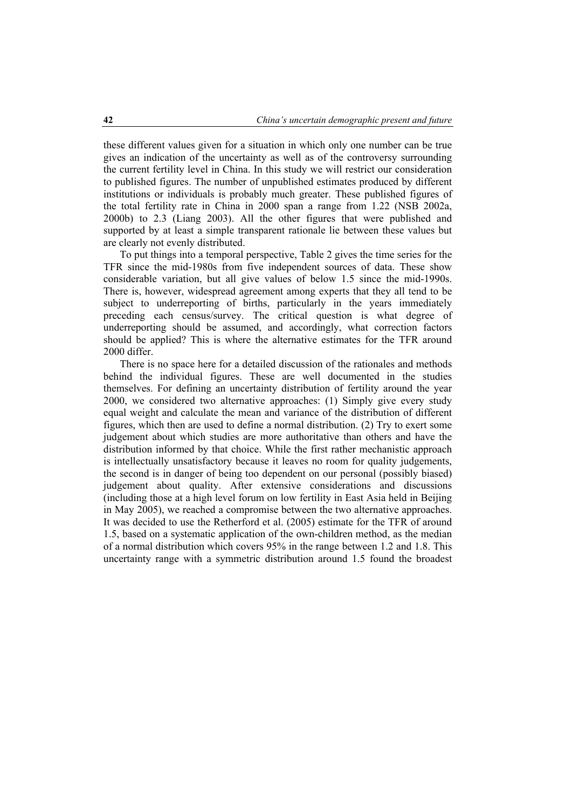these different values given for a situation in which only one number can be true gives an indication of the uncertainty as well as of the controversy surrounding the current fertility level in China. In this study we will restrict our consideration to published figures. The number of unpublished estimates produced by different institutions or individuals is probably much greater. These published figures of the total fertility rate in China in 2000 span a range from 1.22 (NSB 2002a, 2000b) to 2.3 (Liang 2003). All the other figures that were published and supported by at least a simple transparent rationale lie between these values but are clearly not evenly distributed.

To put things into a temporal perspective, Table 2 gives the time series for the TFR since the mid-1980s from five independent sources of data. These show considerable variation, but all give values of below 1.5 since the mid-1990s. There is, however, widespread agreement among experts that they all tend to be subject to underreporting of births, particularly in the years immediately preceding each census/survey. The critical question is what degree of underreporting should be assumed, and accordingly, what correction factors should be applied? This is where the alternative estimates for the TFR around 2000 differ.

There is no space here for a detailed discussion of the rationales and methods behind the individual figures. These are well documented in the studies themselves. For defining an uncertainty distribution of fertility around the year 2000, we considered two alternative approaches: (1) Simply give every study equal weight and calculate the mean and variance of the distribution of different figures, which then are used to define a normal distribution. (2) Try to exert some judgement about which studies are more authoritative than others and have the distribution informed by that choice. While the first rather mechanistic approach is intellectually unsatisfactory because it leaves no room for quality judgements, the second is in danger of being too dependent on our personal (possibly biased) judgement about quality. After extensive considerations and discussions (including those at a high level forum on low fertility in East Asia held in Beijing in May 2005), we reached a compromise between the two alternative approaches. It was decided to use the Retherford et al. (2005) estimate for the TFR of around 1.5, based on a systematic application of the own-children method, as the median of a normal distribution which covers 95% in the range between 1.2 and 1.8. This uncertainty range with a symmetric distribution around 1.5 found the broadest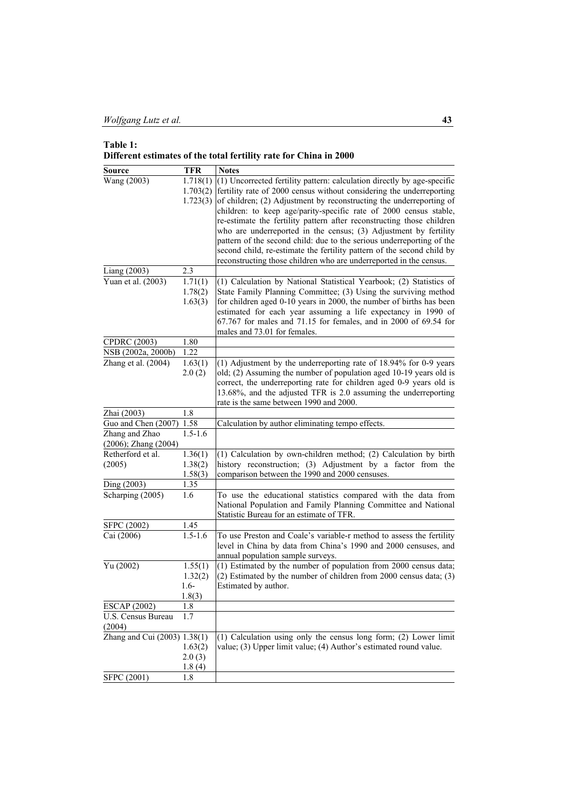|               | Different estimates of the total fertility rate for China in 2000 |
|---------------|-------------------------------------------------------------------|
|               |                                                                   |
| <b>COUNTY</b> |                                                                   |

| Source                                 | <b>TFR</b>          | <b>Notes</b>                                                            |
|----------------------------------------|---------------------|-------------------------------------------------------------------------|
| Wang (2003)                            | 1.718(1)            | (1) Uncorrected fertility pattern: calculation directly by age-specific |
|                                        | 1.703(2)            | fertility rate of 2000 census without considering the underreporting    |
|                                        | 1.723(3)            | of children; (2) Adjustment by reconstructing the underreporting of     |
|                                        |                     | children: to keep age/parity-specific rate of 2000 census stable,       |
|                                        |                     | re-estimate the fertility pattern after reconstructing those children   |
|                                        |                     | who are underreported in the census; (3) Adjustment by fertility        |
|                                        |                     | pattern of the second child: due to the serious underreporting of the   |
|                                        |                     | second child, re-estimate the fertility pattern of the second child by  |
|                                        |                     | reconstructing those children who are underreported in the census.      |
| Liang (2003)                           | 2.3                 |                                                                         |
| Yuan et al. (2003)                     | 1.71(1)             | (1) Calculation by National Statistical Yearbook; (2) Statistics of     |
|                                        | 1.78(2)             | State Family Planning Committee; (3) Using the surviving method         |
|                                        | 1.63(3)             | for children aged 0-10 years in 2000, the number of births has been     |
|                                        |                     | estimated for each year assuming a life expectancy in 1990 of           |
|                                        |                     | 67.767 for males and 71.15 for females, and in 2000 of 69.54 for        |
|                                        |                     | males and 73.01 for females.                                            |
| <b>CPDRC</b> (2003)                    | 1.80                |                                                                         |
| NSB (2002a, 2000b)                     | 1.22                |                                                                         |
| Zhang et al. (2004)                    | 1.63(1)             | (1) Adjustment by the underreporting rate of 18.94% for 0-9 years       |
|                                        | 2.0(2)              | old; (2) Assuming the number of population aged 10-19 years old is      |
|                                        |                     | correct, the underreporting rate for children aged 0-9 years old is     |
|                                        |                     | 13.68%, and the adjusted TFR is 2.0 assuming the underreporting         |
|                                        |                     | rate is the same between 1990 and 2000.                                 |
| Zhai (2003)                            | 1.8                 |                                                                         |
| Guo and Chen (2007)                    | 1.58<br>$1.5 - 1.6$ | Calculation by author eliminating tempo effects.                        |
| Zhang and Zhao<br>(2006); Zhang (2004) |                     |                                                                         |
| Retherford et al.                      | 1.36(1)             | (1) Calculation by own-children method; (2) Calculation by birth        |
| (2005)                                 | 1.38(2)             | history reconstruction; (3) Adjustment by a factor from the             |
|                                        | 1.58(3)             | comparison between the 1990 and 2000 censuses.                          |
| Ding (2003)                            | 1.35                |                                                                         |
| Scharping (2005)                       | 1.6                 | To use the educational statistics compared with the data from           |
|                                        |                     | National Population and Family Planning Committee and National          |
|                                        |                     | Statistic Bureau for an estimate of TFR.                                |
| <b>SFPC</b> (2002)                     | 1.45                |                                                                         |
| Cai (2006)                             | $1.5 - 1.6$         | To use Preston and Coale's variable-r method to assess the fertility    |
|                                        |                     | level in China by data from China's 1990 and 2000 censuses, and         |
|                                        |                     | annual population sample surveys.                                       |
| Yu (2002)                              | 1.55(1)             | (1) Estimated by the number of population from 2000 census data;        |
|                                        | 1.32(2)             | $(2)$ Estimated by the number of children from 2000 census data; $(3)$  |
|                                        | $1.6-$              | Estimated by author.                                                    |
|                                        | 1.8(3)              |                                                                         |
| <b>ESCAP (2002)</b>                    | 1.8                 |                                                                         |
| U.S. Census Bureau                     | 1.7                 |                                                                         |
| (2004)                                 |                     |                                                                         |
| Zhang and Cui (2003) 1.38(1)           |                     | (1) Calculation using only the census long form; (2) Lower limit        |
|                                        | 1.63(2)             | value; (3) Upper limit value; (4) Author's estimated round value.       |
|                                        | 2.0(3)              |                                                                         |
| SFPC (2001)                            | 1.8(4)<br>1.8       |                                                                         |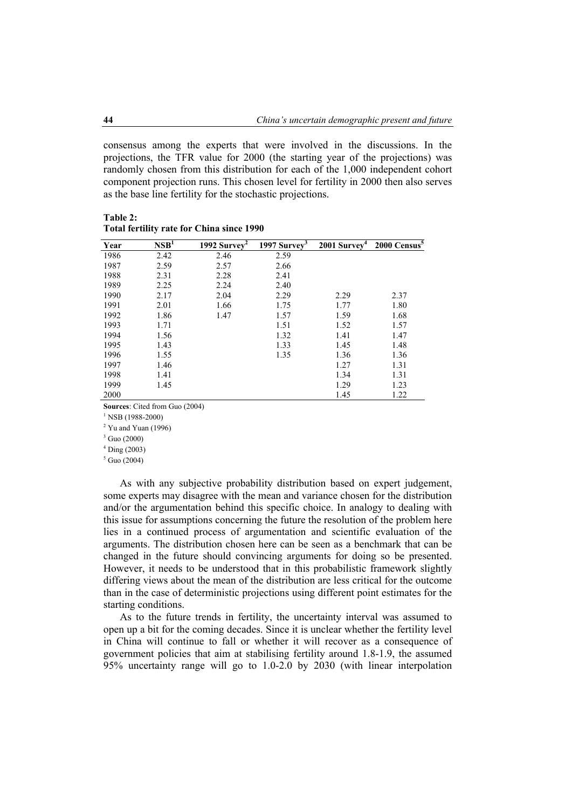consensus among the experts that were involved in the discussions. In the projections, the TFR value for 2000 (the starting year of the projections) was randomly chosen from this distribution for each of the 1,000 independent cohort component projection runs. This chosen level for fertility in 2000 then also serves as the base line fertility for the stochastic projections.

| Year | $\mathbf{NSB}^1$ | $\frac{1992}{2}$ Survey <sup>2</sup> | 1997 Survey <sup>3</sup> | $2001$ Survey <sup>4</sup> | 2000 Census <sup>5</sup> |
|------|------------------|--------------------------------------|--------------------------|----------------------------|--------------------------|
| 1986 | 2.42             | 2.46                                 | 2.59                     |                            |                          |
| 1987 | 2.59             | 2.57                                 | 2.66                     |                            |                          |
| 1988 | 2.31             | 2.28                                 | 2.41                     |                            |                          |
| 1989 | 2.25             | 2.24                                 | 2.40                     |                            |                          |
| 1990 | 2.17             | 2.04                                 | 2.29                     | 2.29                       | 2.37                     |
| 1991 | 2.01             | 1.66                                 | 1.75                     | 1.77                       | 1.80                     |
| 1992 | 1.86             | 1.47                                 | 1.57                     | 1.59                       | 1.68                     |
| 1993 | 1.71             |                                      | 1.51                     | 1.52                       | 1.57                     |
| 1994 | 1.56             |                                      | 1.32                     | 1.41                       | 1.47                     |
| 1995 | 1.43             |                                      | 1.33                     | 1.45                       | 1.48                     |
| 1996 | 1.55             |                                      | 1.35                     | 1.36                       | 1.36                     |
| 1997 | 1.46             |                                      |                          | 1.27                       | 1.31                     |
| 1998 | 1.41             |                                      |                          | 1.34                       | 1.31                     |
| 1999 | 1.45             |                                      |                          | 1.29                       | 1.23                     |
| 2000 |                  |                                      |                          | 1.45                       | 1.22                     |

**Table 2: Total fertility rate for China since 1990** 

**Sources**: Cited from Guo (2004)

 $1$  NSB (1988-2000)

 $2$  Yu and Yuan (1996)

 $3$  Guo (2000)

4 Ding (2003)

 $<sup>5</sup>$  Guo (2004)</sup>

As with any subjective probability distribution based on expert judgement, some experts may disagree with the mean and variance chosen for the distribution and/or the argumentation behind this specific choice. In analogy to dealing with this issue for assumptions concerning the future the resolution of the problem here lies in a continued process of argumentation and scientific evaluation of the arguments. The distribution chosen here can be seen as a benchmark that can be changed in the future should convincing arguments for doing so be presented. However, it needs to be understood that in this probabilistic framework slightly differing views about the mean of the distribution are less critical for the outcome than in the case of deterministic projections using different point estimates for the starting conditions.

As to the future trends in fertility, the uncertainty interval was assumed to open up a bit for the coming decades. Since it is unclear whether the fertility level in China will continue to fall or whether it will recover as a consequence of government policies that aim at stabilising fertility around 1.8-1.9, the assumed 95% uncertainty range will go to 1.0-2.0 by 2030 (with linear interpolation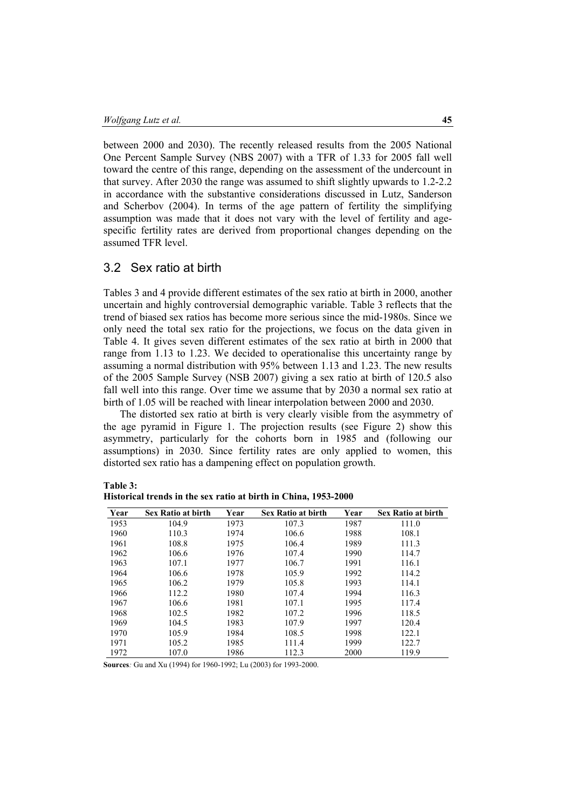between 2000 and 2030). The recently released results from the 2005 National One Percent Sample Survey (NBS 2007) with a TFR of 1.33 for 2005 fall well toward the centre of this range, depending on the assessment of the undercount in that survey. After 2030 the range was assumed to shift slightly upwards to 1.2-2.2 in accordance with the substantive considerations discussed in Lutz, Sanderson and Scherbov (2004). In terms of the age pattern of fertility the simplifying assumption was made that it does not vary with the level of fertility and agespecific fertility rates are derived from proportional changes depending on the assumed TFR level.

### 3.2 Sex ratio at birth

Tables 3 and 4 provide different estimates of the sex ratio at birth in 2000, another uncertain and highly controversial demographic variable. Table 3 reflects that the trend of biased sex ratios has become more serious since the mid-1980s. Since we only need the total sex ratio for the projections, we focus on the data given in Table 4. It gives seven different estimates of the sex ratio at birth in 2000 that range from 1.13 to 1.23. We decided to operationalise this uncertainty range by assuming a normal distribution with 95% between 1.13 and 1.23. The new results of the 2005 Sample Survey (NSB 2007) giving a sex ratio at birth of 120.5 also fall well into this range. Over time we assume that by 2030 a normal sex ratio at birth of 1.05 will be reached with linear interpolation between 2000 and 2030.

The distorted sex ratio at birth is very clearly visible from the asymmetry of the age pyramid in Figure 1. The projection results (see Figure 2) show this asymmetry, particularly for the cohorts born in 1985 and (following our assumptions) in 2030. Since fertility rates are only applied to women, this distorted sex ratio has a dampening effect on population growth.

| able |  |
|------|--|
|------|--|

| Year | <b>Sex Ratio at birth</b> | Year | <b>Sex Ratio at birth</b> | Year | <b>Sex Ratio at birth</b> |
|------|---------------------------|------|---------------------------|------|---------------------------|
| 1953 | 104.9                     | 1973 | 107.3                     | 1987 | 111.0                     |
| 1960 | 110.3                     | 1974 | 106.6                     | 1988 | 108.1                     |
| 1961 | 108.8                     | 1975 | 106.4                     | 1989 | 111.3                     |
| 1962 | 106.6                     | 1976 | 107.4                     | 1990 | 114.7                     |
| 1963 | 107.1                     | 1977 | 106.7                     | 1991 | 116.1                     |
| 1964 | 106.6                     | 1978 | 105.9                     | 1992 | 114.2                     |
| 1965 | 106.2                     | 1979 | 105.8                     | 1993 | 114.1                     |
| 1966 | 112.2                     | 1980 | 107.4                     | 1994 | 116.3                     |
| 1967 | 106.6                     | 1981 | 107.1                     | 1995 | 117.4                     |
| 1968 | 102.5                     | 1982 | 107.2                     | 1996 | 118.5                     |
| 1969 | 104.5                     | 1983 | 107.9                     | 1997 | 120.4                     |
| 1970 | 105.9                     | 1984 | 108.5                     | 1998 | 122.1                     |
| 1971 | 105.2                     | 1985 | 111.4                     | 1999 | 122.7                     |
| 1972 | 107.0                     | 1986 | 112.3                     | 2000 | 119.9                     |

|  |  |  | Historical trends in the sex ratio at birth in China, 1953-2000 |
|--|--|--|-----------------------------------------------------------------|
|--|--|--|-----------------------------------------------------------------|

**Sources***:* Gu and Xu (1994) for 1960-1992; Lu (2003) for 1993-2000.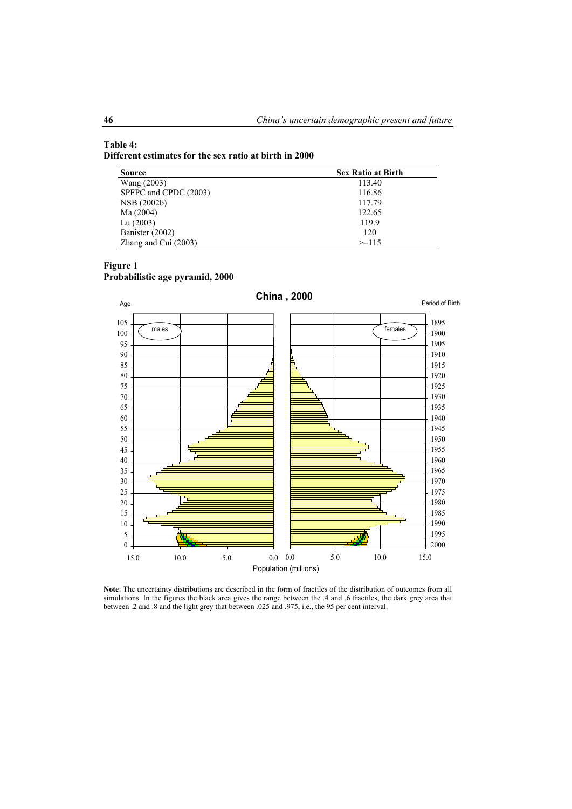#### **Table 4: Different estimates for the sex ratio at birth in 2000**

| <b>Source</b>          | <b>Sex Ratio at Birth</b> |
|------------------------|---------------------------|
| Wang (2003)            | 113.40                    |
| SPFPC and CPDC (2003)  | 116.86                    |
| NSB (2002b)            | 117.79                    |
| Ma (2004)              | 122.65                    |
| Lu $(2003)$            | 119.9                     |
| Banister (2002)        | 120                       |
| Zhang and Cui $(2003)$ | $>=115$                   |

### **Figure 1**

**Probabilistic age pyramid, 2000** 



**Note**: The uncertainty distributions are described in the form of fractiles of the distribution of outcomes from all simulations. In the figures the black area gives the range between the .4 and .6 fractiles, the dark grey area that between .2 and .8 and the light grey that between .025 and .975, i.e., the 95 per cent interval.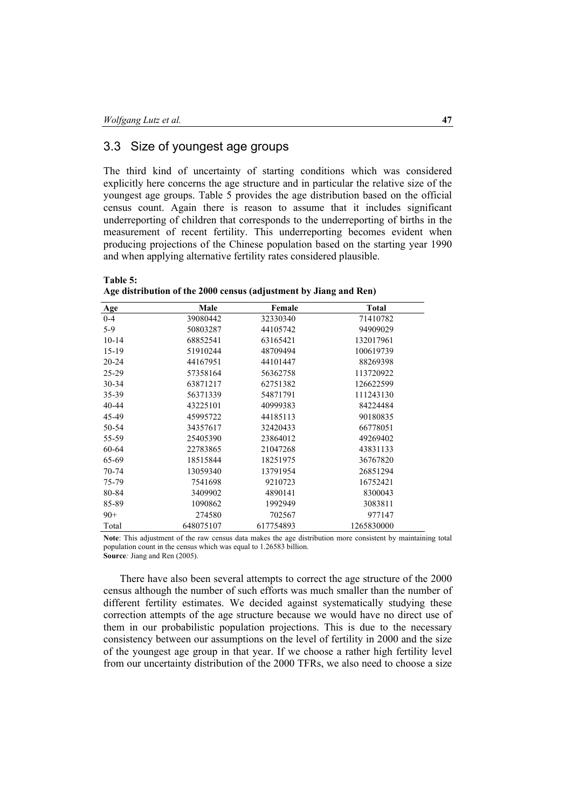## 3.3 Size of youngest age groups

The third kind of uncertainty of starting conditions which was considered explicitly here concerns the age structure and in particular the relative size of the youngest age groups. Table 5 provides the age distribution based on the official census count. Again there is reason to assume that it includes significant underreporting of children that corresponds to the underreporting of births in the measurement of recent fertility. This underreporting becomes evident when producing projections of the Chinese population based on the starting year 1990 and when applying alternative fertility rates considered plausible.

**Table 5: Age distribution of the 2000 census (adjustment by Jiang and Ren)** 

| <b>Age</b> | Male      | Female    | <b>Total</b> |
|------------|-----------|-----------|--------------|
| $0 - 4$    | 39080442  | 32330340  | 71410782     |
| $5-9$      | 50803287  | 44105742  | 94909029     |
| $10 - 14$  | 68852541  | 63165421  | 132017961    |
| $15-19$    | 51910244  | 48709494  | 100619739    |
| $20 - 24$  | 44167951  | 44101447  | 88269398     |
| 25-29      | 57358164  | 56362758  | 113720922    |
| $30 - 34$  | 63871217  | 62751382  | 126622599    |
| 35-39      | 56371339  | 54871791  | 111243130    |
| 40-44      | 43225101  | 40999383  | 84224484     |
| 45-49      | 45995722  | 44185113  | 90180835     |
| 50-54      | 34357617  | 32420433  | 66778051     |
| 55-59      | 25405390  | 23864012  | 49269402     |
| 60-64      | 22783865  | 21047268  | 43831133     |
| 65-69      | 18515844  | 18251975  | 36767820     |
| 70-74      | 13059340  | 13791954  | 26851294     |
| 75-79      | 7541698   | 9210723   | 16752421     |
| 80-84      | 3409902   | 4890141   | 8300043      |
| 85-89      | 1090862   | 1992949   | 3083811      |
| $90+$      | 274580    | 702567    | 977147       |
| Total      | 648075107 | 617754893 | 1265830000   |

**Note**: This adjustment of the raw census data makes the age distribution more consistent by maintaining total population count in the census which was equal to 1.26583 billion. **Source***:* Jiang and Ren (2005).

There have also been several attempts to correct the age structure of the 2000 census although the number of such efforts was much smaller than the number of different fertility estimates. We decided against systematically studying these correction attempts of the age structure because we would have no direct use of them in our probabilistic population projections. This is due to the necessary consistency between our assumptions on the level of fertility in 2000 and the size of the youngest age group in that year. If we choose a rather high fertility level from our uncertainty distribution of the 2000 TFRs, we also need to choose a size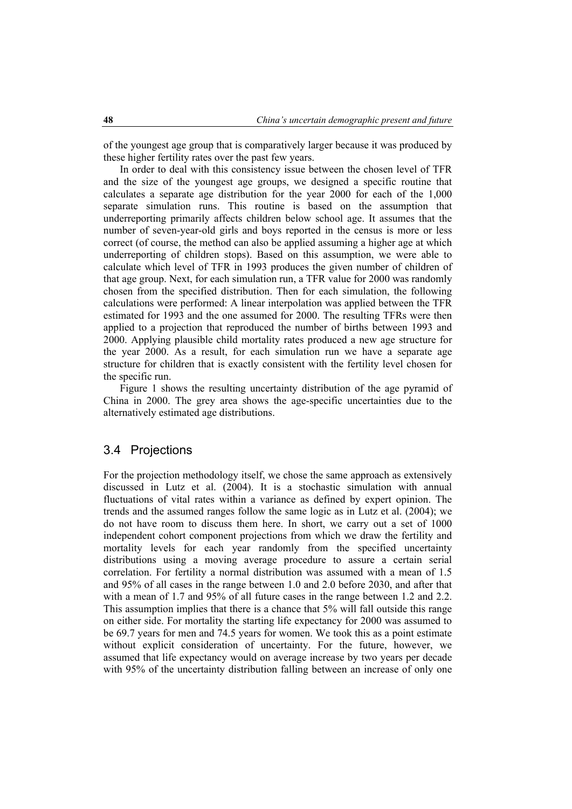of the youngest age group that is comparatively larger because it was produced by these higher fertility rates over the past few years.

In order to deal with this consistency issue between the chosen level of TFR and the size of the youngest age groups, we designed a specific routine that calculates a separate age distribution for the year 2000 for each of the 1,000 separate simulation runs. This routine is based on the assumption that underreporting primarily affects children below school age. It assumes that the number of seven-year-old girls and boys reported in the census is more or less correct (of course, the method can also be applied assuming a higher age at which underreporting of children stops). Based on this assumption, we were able to calculate which level of TFR in 1993 produces the given number of children of that age group. Next, for each simulation run, a TFR value for 2000 was randomly chosen from the specified distribution. Then for each simulation, the following calculations were performed: A linear interpolation was applied between the TFR estimated for 1993 and the one assumed for 2000. The resulting TFRs were then applied to a projection that reproduced the number of births between 1993 and 2000. Applying plausible child mortality rates produced a new age structure for the year 2000. As a result, for each simulation run we have a separate age structure for children that is exactly consistent with the fertility level chosen for the specific run.

Figure 1 shows the resulting uncertainty distribution of the age pyramid of China in 2000. The grey area shows the age-specific uncertainties due to the alternatively estimated age distributions.

### 3.4 Projections

For the projection methodology itself, we chose the same approach as extensively discussed in Lutz et al. (2004). It is a stochastic simulation with annual fluctuations of vital rates within a variance as defined by expert opinion. The trends and the assumed ranges follow the same logic as in Lutz et al. (2004); we do not have room to discuss them here. In short, we carry out a set of 1000 independent cohort component projections from which we draw the fertility and mortality levels for each year randomly from the specified uncertainty distributions using a moving average procedure to assure a certain serial correlation. For fertility a normal distribution was assumed with a mean of 1.5 and 95% of all cases in the range between 1.0 and 2.0 before 2030, and after that with a mean of 1.7 and 95% of all future cases in the range between 1.2 and 2.2. This assumption implies that there is a chance that 5% will fall outside this range on either side. For mortality the starting life expectancy for 2000 was assumed to be 69.7 years for men and 74.5 years for women. We took this as a point estimate without explicit consideration of uncertainty. For the future, however, we assumed that life expectancy would on average increase by two years per decade with 95% of the uncertainty distribution falling between an increase of only one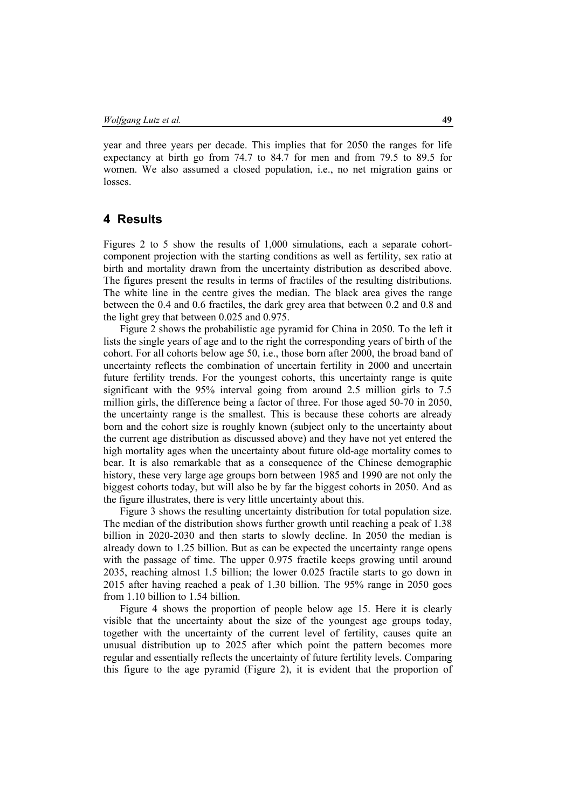year and three years per decade. This implies that for 2050 the ranges for life expectancy at birth go from 74.7 to 84.7 for men and from 79.5 to 89.5 for women. We also assumed a closed population, i.e., no net migration gains or losses.

## **4 Results**

Figures 2 to 5 show the results of 1,000 simulations, each a separate cohortcomponent projection with the starting conditions as well as fertility, sex ratio at birth and mortality drawn from the uncertainty distribution as described above. The figures present the results in terms of fractiles of the resulting distributions. The white line in the centre gives the median. The black area gives the range between the 0.4 and 0.6 fractiles, the dark grey area that between 0.2 and 0.8 and the light grey that between 0.025 and 0.975.

Figure 2 shows the probabilistic age pyramid for China in 2050. To the left it lists the single years of age and to the right the corresponding years of birth of the cohort. For all cohorts below age 50, i.e., those born after 2000, the broad band of uncertainty reflects the combination of uncertain fertility in 2000 and uncertain future fertility trends. For the youngest cohorts, this uncertainty range is quite significant with the 95% interval going from around 2.5 million girls to 7.5 million girls, the difference being a factor of three. For those aged 50-70 in 2050, the uncertainty range is the smallest. This is because these cohorts are already born and the cohort size is roughly known (subject only to the uncertainty about the current age distribution as discussed above) and they have not yet entered the high mortality ages when the uncertainty about future old-age mortality comes to bear. It is also remarkable that as a consequence of the Chinese demographic history, these very large age groups born between 1985 and 1990 are not only the biggest cohorts today, but will also be by far the biggest cohorts in 2050. And as the figure illustrates, there is very little uncertainty about this.

Figure 3 shows the resulting uncertainty distribution for total population size. The median of the distribution shows further growth until reaching a peak of 1.38 billion in 2020-2030 and then starts to slowly decline. In 2050 the median is already down to 1.25 billion. But as can be expected the uncertainty range opens with the passage of time. The upper 0.975 fractile keeps growing until around 2035, reaching almost 1.5 billion; the lower 0.025 fractile starts to go down in 2015 after having reached a peak of 1.30 billion. The 95% range in 2050 goes from 1.10 billion to 1.54 billion.

Figure 4 shows the proportion of people below age 15. Here it is clearly visible that the uncertainty about the size of the youngest age groups today, together with the uncertainty of the current level of fertility, causes quite an unusual distribution up to 2025 after which point the pattern becomes more regular and essentially reflects the uncertainty of future fertility levels. Comparing this figure to the age pyramid (Figure 2), it is evident that the proportion of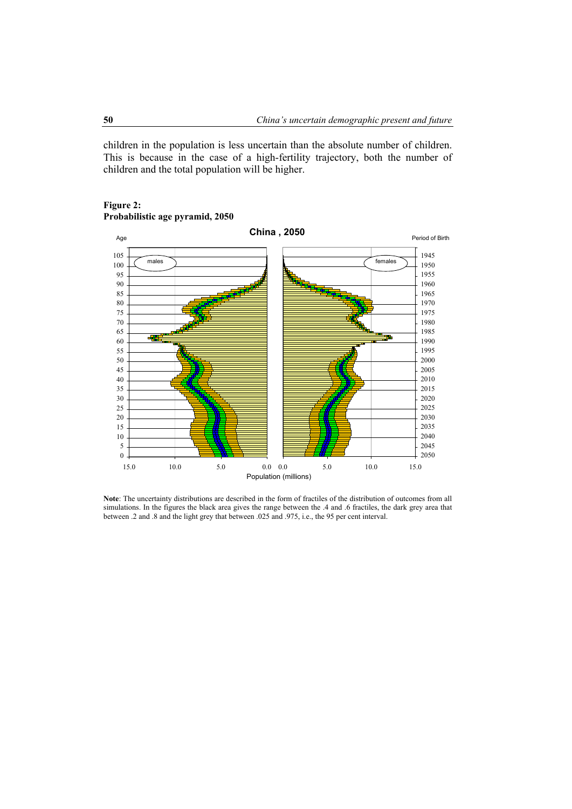children in the population is less uncertain than the absolute number of children. This is because in the case of a high-fertility trajectory, both the number of children and the total population will be higher.



#### **Figure 2: Probabilistic age pyramid, 2050**

**Note**: The uncertainty distributions are described in the form of fractiles of the distribution of outcomes from all simulations. In the figures the black area gives the range between the .4 and .6 fractiles, the dark grey area that between .2 and .8 and the light grey that between .025 and .975, i.e., the 95 per cent interval.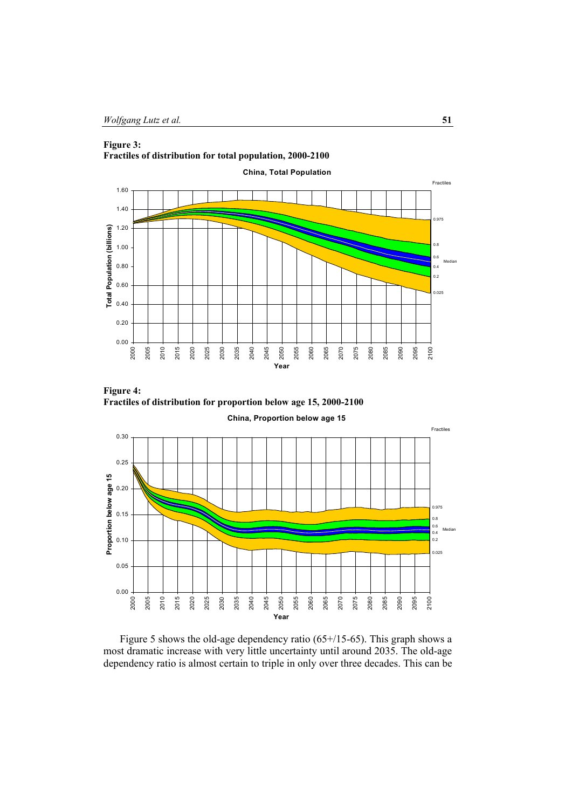# **Figure 3:**









Figure 5 shows the old-age dependency ratio (65+/15-65). This graph shows a most dramatic increase with very little uncertainty until around 2035. The old-age dependency ratio is almost certain to triple in only over three decades. This can be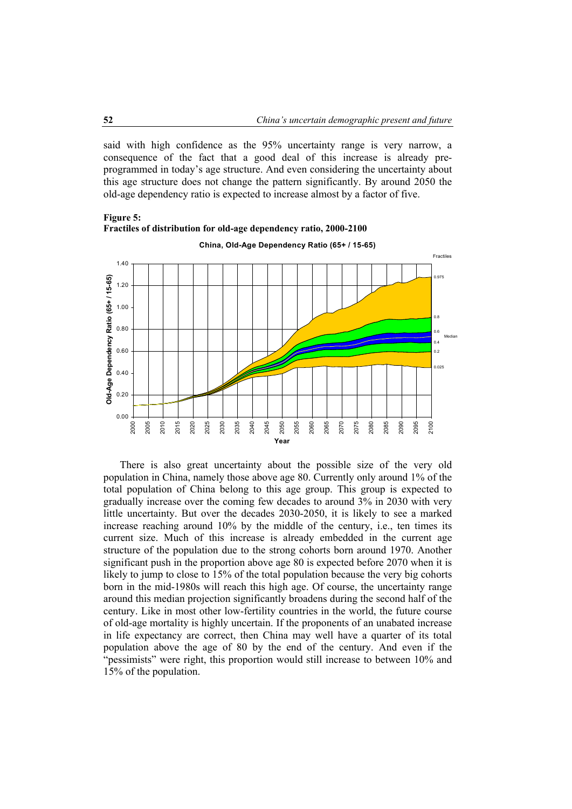said with high confidence as the 95% uncertainty range is very narrow, a consequence of the fact that a good deal of this increase is already preprogrammed in today's age structure. And even considering the uncertainty about this age structure does not change the pattern significantly. By around 2050 the old-age dependency ratio is expected to increase almost by a factor of five.



**Figure 5: Fractiles of distribution for old-age dependency ratio, 2000-2100** 

There is also great uncertainty about the possible size of the very old population in China, namely those above age 80. Currently only around 1% of the total population of China belong to this age group. This group is expected to gradually increase over the coming few decades to around 3% in 2030 with very little uncertainty. But over the decades 2030-2050, it is likely to see a marked increase reaching around 10% by the middle of the century, i.e., ten times its current size. Much of this increase is already embedded in the current age structure of the population due to the strong cohorts born around 1970. Another significant push in the proportion above age 80 is expected before 2070 when it is likely to jump to close to 15% of the total population because the very big cohorts born in the mid-1980s will reach this high age. Of course, the uncertainty range around this median projection significantly broadens during the second half of the century. Like in most other low-fertility countries in the world, the future course of old-age mortality is highly uncertain. If the proponents of an unabated increase in life expectancy are correct, then China may well have a quarter of its total population above the age of 80 by the end of the century. And even if the "pessimists" were right, this proportion would still increase to between 10% and 15% of the population.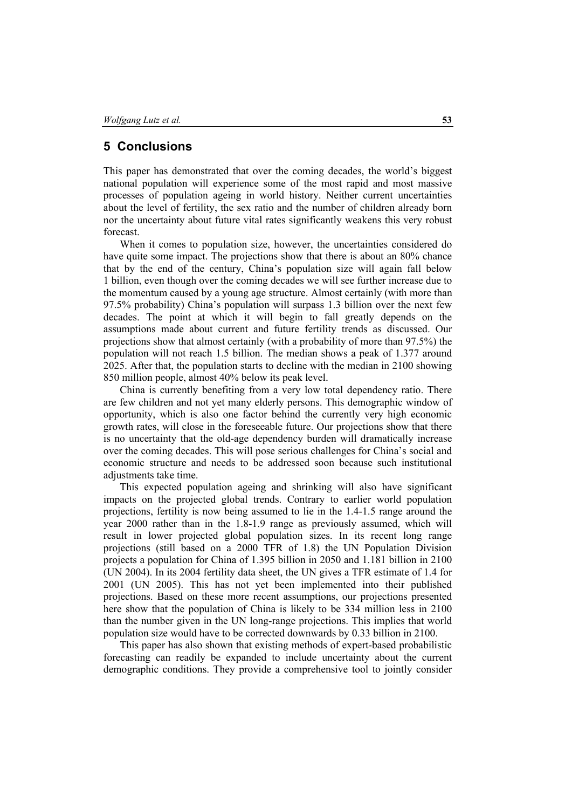### **5 Conclusions**

This paper has demonstrated that over the coming decades, the world's biggest national population will experience some of the most rapid and most massive processes of population ageing in world history. Neither current uncertainties about the level of fertility, the sex ratio and the number of children already born nor the uncertainty about future vital rates significantly weakens this very robust forecast.

When it comes to population size, however, the uncertainties considered do have quite some impact. The projections show that there is about an 80% chance that by the end of the century, China's population size will again fall below 1 billion, even though over the coming decades we will see further increase due to the momentum caused by a young age structure. Almost certainly (with more than 97.5% probability) China's population will surpass 1.3 billion over the next few decades. The point at which it will begin to fall greatly depends on the assumptions made about current and future fertility trends as discussed. Our projections show that almost certainly (with a probability of more than 97.5%) the population will not reach 1.5 billion. The median shows a peak of 1.377 around 2025. After that, the population starts to decline with the median in 2100 showing 850 million people, almost 40% below its peak level.

China is currently benefiting from a very low total dependency ratio. There are few children and not yet many elderly persons. This demographic window of opportunity, which is also one factor behind the currently very high economic growth rates, will close in the foreseeable future. Our projections show that there is no uncertainty that the old-age dependency burden will dramatically increase over the coming decades. This will pose serious challenges for China's social and economic structure and needs to be addressed soon because such institutional adjustments take time.

This expected population ageing and shrinking will also have significant impacts on the projected global trends. Contrary to earlier world population projections, fertility is now being assumed to lie in the 1.4-1.5 range around the year 2000 rather than in the 1.8-1.9 range as previously assumed, which will result in lower projected global population sizes. In its recent long range projections (still based on a 2000 TFR of 1.8) the UN Population Division projects a population for China of 1.395 billion in 2050 and 1.181 billion in 2100 (UN 2004). In its 2004 fertility data sheet, the UN gives a TFR estimate of 1.4 for 2001 (UN 2005). This has not yet been implemented into their published projections. Based on these more recent assumptions, our projections presented here show that the population of China is likely to be 334 million less in 2100 than the number given in the UN long-range projections. This implies that world population size would have to be corrected downwards by 0.33 billion in 2100.

This paper has also shown that existing methods of expert-based probabilistic forecasting can readily be expanded to include uncertainty about the current demographic conditions. They provide a comprehensive tool to jointly consider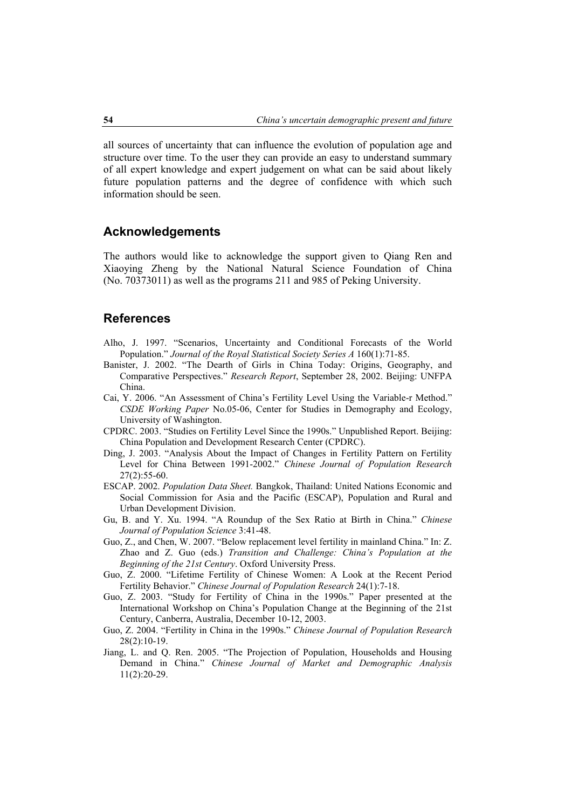all sources of uncertainty that can influence the evolution of population age and structure over time. To the user they can provide an easy to understand summary of all expert knowledge and expert judgement on what can be said about likely future population patterns and the degree of confidence with which such information should be seen.

### **Acknowledgements**

The authors would like to acknowledge the support given to Qiang Ren and Xiaoying Zheng by the National Natural Science Foundation of China (No. 70373011) as well as the programs 211 and 985 of Peking University.

### **References**

- Alho, J. 1997. "Scenarios, Uncertainty and Conditional Forecasts of the World Population." *Journal of the Royal Statistical Society Series A* 160(1):71-85.
- Banister, J. 2002. "The Dearth of Girls in China Today: Origins, Geography, and Comparative Perspectives." *Research Report*, September 28, 2002. Beijing: UNFPA China.
- Cai, Y. 2006. "An Assessment of China's Fertility Level Using the Variable-r Method." *CSDE Working Paper* No.05-06, Center for Studies in Demography and Ecology, University of Washington.
- CPDRC. 2003. "Studies on Fertility Level Since the 1990s." Unpublished Report. Beijing: China Population and Development Research Center (CPDRC).
- Ding, J. 2003. "Analysis About the Impact of Changes in Fertility Pattern on Fertility Level for China Between 1991-2002." *Chinese Journal of Population Research*  27(2):55-60.
- ESCAP. 2002. *Population Data Sheet.* Bangkok, Thailand: United Nations Economic and Social Commission for Asia and the Pacific (ESCAP), Population and Rural and Urban Development Division.
- Gu, B. and Y. Xu. 1994. "A Roundup of the Sex Ratio at Birth in China." *Chinese Journal of Population Science* 3:41-48.
- Guo, Z., and Chen, W. 2007. "Below replacement level fertility in mainland China." In: Z. Zhao and Z. Guo (eds.) *Transition and Challenge: China's Population at the Beginning of the 21st Century*. Oxford University Press.
- Guo, Z. 2000. "Lifetime Fertility of Chinese Women: A Look at the Recent Period Fertility Behavior." *Chinese Journal of Population Research* 24(1):7-18.
- Guo, Z. 2003. "Study for Fertility of China in the 1990s." Paper presented at the International Workshop on China's Population Change at the Beginning of the 21st Century, Canberra, Australia, December 10-12, 2003.
- Guo, Z. 2004. "Fertility in China in the 1990s." *Chinese Journal of Population Research*  28(2):10-19.
- Jiang, L. and Q. Ren. 2005. "The Projection of Population, Households and Housing Demand in China." *Chinese Journal of Market and Demographic Analysis* 11(2):20-29.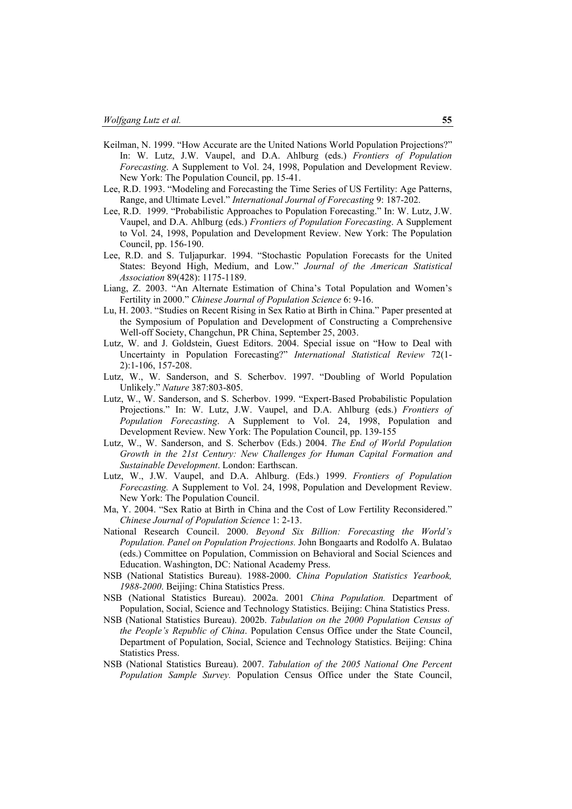- Keilman, N. 1999. "How Accurate are the United Nations World Population Projections?" In: W. Lutz, J.W. Vaupel, and D.A. Ahlburg (eds.) *Frontiers of Population Forecasting*. A Supplement to Vol. 24, 1998, Population and Development Review. New York: The Population Council, pp. 15-41.
- Lee, R.D. 1993. "Modeling and Forecasting the Time Series of US Fertility: Age Patterns, Range, and Ultimate Level." *International Journal of Forecasting* 9: 187-202.
- Lee, R.D. 1999. "Probabilistic Approaches to Population Forecasting." In: W. Lutz, J.W. Vaupel, and D.A. Ahlburg (eds.) *Frontiers of Population Forecasting*. A Supplement to Vol. 24, 1998, Population and Development Review. New York: The Population Council, pp. 156-190.
- Lee, R.D. and S. Tuljapurkar. 1994. "Stochastic Population Forecasts for the United States: Beyond High, Medium, and Low." *Journal of the American Statistical Association* 89(428): 1175-1189.
- Liang, Z. 2003. "An Alternate Estimation of China's Total Population and Women's Fertility in 2000." *Chinese Journal of Population Science* 6: 9-16.
- Lu, H. 2003. "Studies on Recent Rising in Sex Ratio at Birth in China." Paper presented at the Symposium of Population and Development of Constructing a Comprehensive Well-off Society, Changchun, PR China, September 25, 2003.
- Lutz, W. and J. Goldstein, Guest Editors. 2004. Special issue on "How to Deal with Uncertainty in Population Forecasting?" *International Statistical Review* 72(1- 2):1-106, 157-208.
- Lutz, W., W. Sanderson, and S. Scherbov. 1997. "Doubling of World Population Unlikely." *Nature* 387:803-805.
- Lutz, W., W. Sanderson, and S. Scherbov. 1999. "Expert-Based Probabilistic Population Projections." In: W. Lutz, J.W. Vaupel, and D.A. Ahlburg (eds.) *Frontiers of Population Forecasting*. A Supplement to Vol. 24, 1998, Population and Development Review. New York: The Population Council, pp. 139-155
- Lutz, W., W. Sanderson, and S. Scherbov (Eds.) 2004. *The End of World Population Growth in the 21st Century: New Challenges for Human Capital Formation and Sustainable Development*. London: Earthscan.
- Lutz, W., J.W. Vaupel, and D.A. Ahlburg. (Eds.) 1999. *Frontiers of Population Forecasting.* A Supplement to Vol. 24, 1998, Population and Development Review. New York: The Population Council.
- Ma, Y. 2004. "Sex Ratio at Birth in China and the Cost of Low Fertility Reconsidered." *Chinese Journal of Population Science* 1: 2-13.
- National Research Council. 2000. *Beyond Six Billion: Forecasting the World's Population. Panel on Population Projections.* John Bongaarts and Rodolfo A. Bulatao (eds.) Committee on Population, Commission on Behavioral and Social Sciences and Education. Washington, DC: National Academy Press.
- NSB (National Statistics Bureau). 1988-2000. *China Population Statistics Yearbook, 1988-2000*. Beijing: China Statistics Press.
- NSB (National Statistics Bureau). 2002a. 2001 *China Population.* Department of Population, Social, Science and Technology Statistics. Beijing: China Statistics Press.
- NSB (National Statistics Bureau). 2002b. *Tabulation on the 2000 Population Census of the People's Republic of China*. Population Census Office under the State Council, Department of Population, Social, Science and Technology Statistics. Beijing: China Statistics Press.
- NSB (National Statistics Bureau). 2007. *Tabulation of the 2005 National One Percent Population Sample Survey.* Population Census Office under the State Council,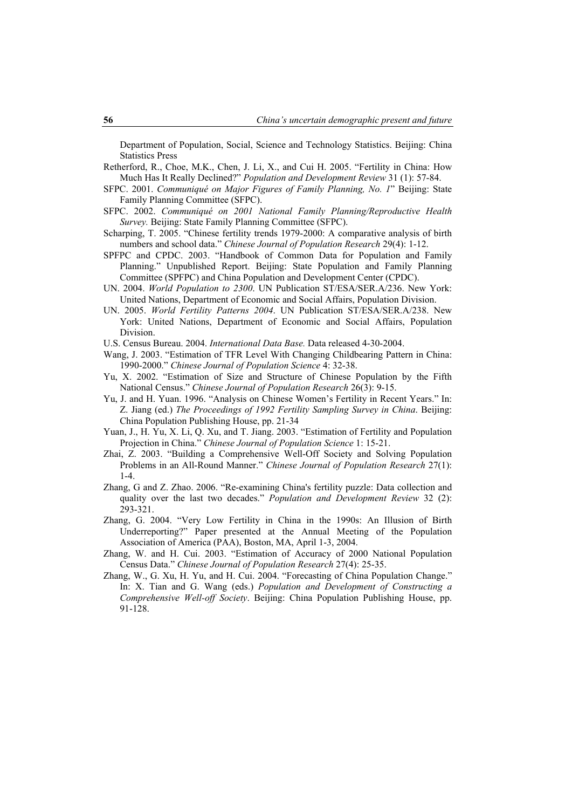Department of Population, Social, Science and Technology Statistics. Beijing: China Statistics Press

- Retherford, R., Choe, M.K., Chen, J. Li, X., and Cui H. 2005. "Fertility in China: How Much Has It Really Declined?" *Population and Development Review* 31 (1): 57-84.
- SFPC. 2001. *Communiqué on Major Figures of Family Planning, No. 1*" Beijing: State Family Planning Committee (SFPC).
- SFPC. 2002. *Communiqué on 2001 National Family Planning/Reproductive Health Survey.* Beijing: State Family Planning Committee (SFPC).
- Scharping, T. 2005. "Chinese fertility trends 1979-2000: A comparative analysis of birth numbers and school data." *Chinese Journal of Population Research* 29(4): 1-12.
- SPFPC and CPDC. 2003. "Handbook of Common Data for Population and Family Planning." Unpublished Report. Beijing: State Population and Family Planning Committee (SPFPC) and China Population and Development Center (CPDC).
- UN. 2004. *World Population to 2300*. UN Publication ST/ESA/SER.A/236. New York: United Nations, Department of Economic and Social Affairs, Population Division.
- UN. 2005. *World Fertility Patterns 2004*. UN Publication ST/ESA/SER.A/238. New York: United Nations, Department of Economic and Social Affairs, Population Division.
- U.S. Census Bureau. 2004. *International Data Base.* Data released 4-30-2004.
- Wang, J. 2003. "Estimation of TFR Level With Changing Childbearing Pattern in China: 1990-2000." *Chinese Journal of Population Science* 4: 32-38.
- Yu, X. 2002. "Estimation of Size and Structure of Chinese Population by the Fifth National Census." *Chinese Journal of Population Research* 26(3): 9-15.
- Yu, J. and H. Yuan. 1996. "Analysis on Chinese Women's Fertility in Recent Years." In: Z. Jiang (ed.) *The Proceedings of 1992 Fertility Sampling Survey in China*. Beijing: China Population Publishing House, pp. 21-34
- Yuan, J., H. Yu, X. Li, Q. Xu, and T. Jiang. 2003. "Estimation of Fertility and Population Projection in China." *Chinese Journal of Population Science* 1: 15-21.
- Zhai, Z. 2003. "Building a Comprehensive Well-Off Society and Solving Population Problems in an All-Round Manner." *Chinese Journal of Population Research* 27(1):  $1 - 4$ .
- Zhang, G and Z. Zhao. 2006. "Re-examining China's fertility puzzle: Data collection and quality over the last two decades." *Population and Development Review* 32 (2): 293-321.
- Zhang, G. 2004. "Very Low Fertility in China in the 1990s: An Illusion of Birth Underreporting?" Paper presented at the Annual Meeting of the Population Association of America (PAA), Boston, MA, April 1-3, 2004.
- Zhang, W. and H. Cui. 2003. "Estimation of Accuracy of 2000 National Population Census Data." *Chinese Journal of Population Research* 27(4): 25-35.
- Zhang, W., G. Xu, H. Yu, and H. Cui. 2004. "Forecasting of China Population Change." In: X. Tian and G. Wang (eds.) *Population and Development of Constructing a Comprehensive Well-off Society*. Beijing: China Population Publishing House, pp. 91-128.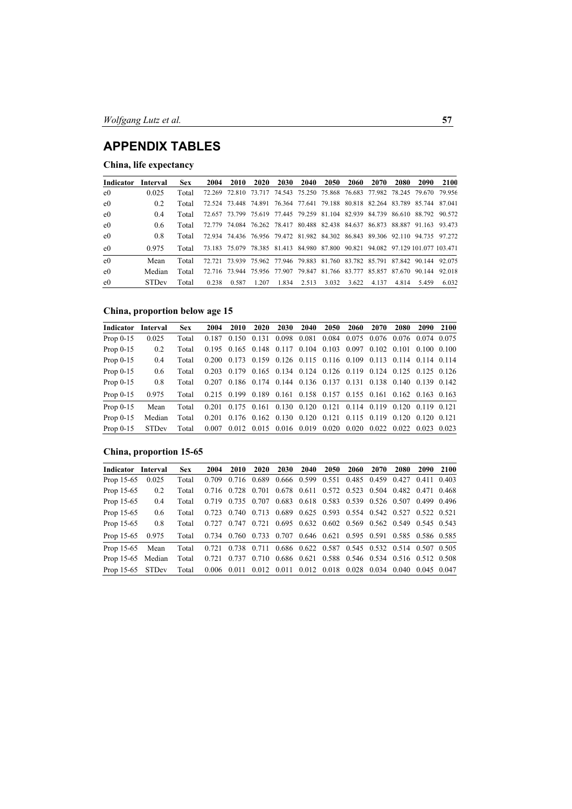# **APPENDIX TABLES**

# **China, life expectancy**

| Indicator      | Interval     | <b>Sex</b> | 2004  | 2010  | 2020  | 2030  | 2040  | 2050  | <b>2060</b> | 2070  | 2080  | 2090                                                                           | 2100  |
|----------------|--------------|------------|-------|-------|-------|-------|-------|-------|-------------|-------|-------|--------------------------------------------------------------------------------|-------|
| e <sub>0</sub> | 0.025        | Total      |       |       |       |       |       |       |             |       |       | 72 269 72 810 73 717 74 543 75 250 75 868 76 683 77 982 78 245 79 670 79 956   |       |
| $_{\rm e0}$    | 0.2          | Total      |       |       |       |       |       |       |             |       |       | 72.524 73.448 74.891 76.364 77.641 79.188 80.818 82.264 83.789 85.744 87.041   |       |
| e <sub>0</sub> | 04           | Total      |       |       |       |       |       |       |             |       |       | 72.657 73.799 75.619 77.445 79.259 81.104 82.939 84.739 86.610 88.792 90.572   |       |
| $_{\rm e0}$    | 06           | Total      |       |       |       |       |       |       |             |       |       | 72.779 74.084 76.262 78.417 80.488 82.438 84.637 86.873 88.887 91.163 93.473   |       |
| $_{\rm e0}$    | 0.8          | Total      |       |       |       |       |       |       |             |       |       | 72 934 74 436 76 956 79 472 81 982 84 302 86 843 89 306 92 110 94 735 97 272   |       |
| $_{\rm e0}$    | 0.975        | Total      |       |       |       |       |       |       |             |       |       | 73.183 75.079 78.385 81.413 84.980 87.800 90.821 94.082 97.129.101.077 103.471 |       |
| e <sub>0</sub> | Mean         | Total      |       |       |       |       |       |       |             |       |       | 72 721 73 939 75 962 77 946 79 883 81 760 83 782 85 791 87 842 90 144 92 075   |       |
| e <sub>0</sub> | Median       | Total      |       |       |       |       |       |       |             |       |       | 72.716 73.944 75.956 77.907 79.847 81.766 83.777 85.857 87.670 90.144 92.018   |       |
| $_{\rm e0}$    | <b>STDev</b> | Total      | 0.238 | 0.587 | 1.207 | 1.834 | 2.513 | 3.032 | 3.622       | 4.137 | 4.814 | 5459                                                                           | 6.032 |

### **China, proportion below age 15**

| Indicator   | Interval     | <b>Sex</b> | 2004  | <b>2010</b> | <b>2020</b> | 2030 | <b>2040</b> | <b>2050</b>                                                       | <b>2060</b> | 2070 | <b>2080</b>             | <b>2090</b> | 2100 |
|-------------|--------------|------------|-------|-------------|-------------|------|-------------|-------------------------------------------------------------------|-------------|------|-------------------------|-------------|------|
| Prop $0-15$ | 0.025        | Total      |       |             |             |      |             | 0.187 0.150 0.131 0.098 0.081 0.084 0.075 0.076 0.076 0.074 0.075 |             |      |                         |             |      |
| Prop $0-15$ | 0.2          | Total      |       |             |             |      |             | 0.195 0.165 0.148 0.117 0.104 0.103 0.097 0.102 0.101 0.100 0.100 |             |      |                         |             |      |
| Prop $0-15$ | 0.4          | Total      |       |             |             |      |             | 0.200 0.173 0.159 0.126 0.115 0.116 0.109 0.113 0.114 0.114 0.114 |             |      |                         |             |      |
| Prop $0-15$ | 0.6          | Total      |       |             |             |      |             | 0.203 0.179 0.165 0.134 0.124 0.126 0.119 0.124 0.125 0.125 0.126 |             |      |                         |             |      |
| Prop $0-15$ | 0.8          | Total      |       |             |             |      |             | 0.207 0.186 0.174 0.144 0.136 0.137 0.131 0.138 0.140 0.139 0.142 |             |      |                         |             |      |
| Prop $0-15$ | 0.975        | Total      |       |             |             |      |             | 0.215 0.199 0.189 0.161 0.158 0.157 0.155 0.161 0.162 0.163 0.163 |             |      |                         |             |      |
| Prop $0-15$ | Mean         | Total      |       |             |             |      |             | 0.201 0.175 0.161 0.130 0.120 0.121 0.114 0.119 0.120 0.119 0.121 |             |      |                         |             |      |
| Prop $0-15$ | Median       | Total      | 0.201 |             |             |      |             | 0.176 0.162 0.130 0.120 0.121 0.115 0.119 0.120 0.120 0.121       |             |      |                         |             |      |
| Prop $0-15$ | <b>STDev</b> | Total      | 0.007 |             |             |      |             | $0.012$ $0.015$ $0.016$ $0.019$ $0.020$ $0.020$                   |             |      | 0.022 0.022 0.023 0.023 |             |      |

# **China, proportion 15-65**

| Indicator Interval |               | <b>Sex</b> | 2004                                                                    | 2010 | 2020 2030 2040 2050 |  | 2060                                                              | 2070 | <b>2080</b> | 2090 2100 |
|--------------------|---------------|------------|-------------------------------------------------------------------------|------|---------------------|--|-------------------------------------------------------------------|------|-------------|-----------|
| Prop 15-65         | 0.025         | Total      |                                                                         |      |                     |  | 0.709 0.716 0.689 0.666 0.599 0.551 0.485 0.459 0.427 0.411 0.403 |      |             |           |
| Prop 15-65         | 0.2           | Total      |                                                                         |      |                     |  | 0.716 0.728 0.701 0.678 0.611 0.572 0.523 0.504 0.482 0.471 0.468 |      |             |           |
| Prop 15-65         | 0.4           | Total      |                                                                         |      |                     |  | 0.719 0.735 0.707 0.683 0.618 0.583 0.539 0.526 0.507 0.499 0.496 |      |             |           |
| Prop 15-65         | $0.6^{\circ}$ | Total      |                                                                         |      |                     |  | 0.723 0.740 0.713 0.689 0.625 0.593 0.554 0.542 0.527 0.522 0.521 |      |             |           |
| Prop 15-65         | 0.8           | Total      |                                                                         |      |                     |  | 0.727 0.747 0.721 0.695 0.632 0.602 0.569 0.562 0.549 0.545 0.543 |      |             |           |
| Prop 15-65         | 0.975         |            | Total 0.734 0.760 0.733 0.707 0.646 0.621 0.595 0.591 0.585 0.586 0.585 |      |                     |  |                                                                   |      |             |           |
| Prop 15-65         | Mean          | Total      |                                                                         |      |                     |  | 0.721 0.738 0.711 0.686 0.622 0.587 0.545 0.532 0.514 0.507 0.505 |      |             |           |
| Prop 15-65 Median  |               | Total      |                                                                         |      |                     |  | 0.721 0.737 0.710 0.686 0.621 0.588 0.546 0.534 0.516 0.512 0.508 |      |             |           |
| Prop 15-65         | STDev         |            | Total 0.006 0.011 0.012 0.011 0.012 0.018 0.028 0.034 0.040 0.045 0.047 |      |                     |  |                                                                   |      |             |           |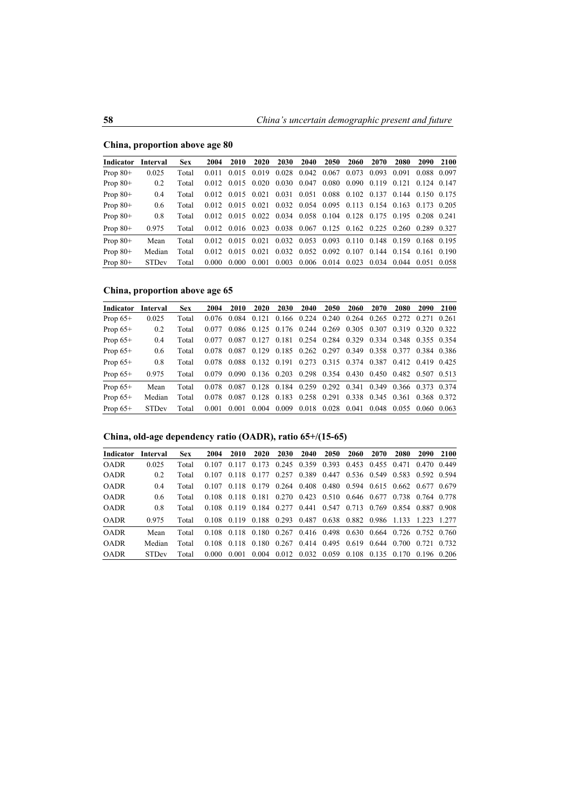### **China, proportion above age 80**

| Indicator  | Interval     | <b>Sex</b> | 2004  | 2010                                                              | 2020                                                        | 2030 | 2040 | 2050                                            | 2060        | 2070 | 2080                    | 2090 | 2100 |
|------------|--------------|------------|-------|-------------------------------------------------------------------|-------------------------------------------------------------|------|------|-------------------------------------------------|-------------|------|-------------------------|------|------|
| Prop $80+$ | 0.025        | Total      | 0.011 |                                                                   | 0.015 0.019 0.028 0.042 0.067 0.073 0.093 0.091 0.088 0.097 |      |      |                                                 |             |      |                         |      |      |
| Prop $80+$ | 0.2          | Total      |       | $0.012$ $0.015$ $0.020$ $0.030$ $0.047$                           |                                                             |      |      |                                                 | 0.080 0.090 |      | 0.119 0.121 0.124 0.147 |      |      |
| Prop $80+$ | 0.4          | Total      |       | 0.012 0.015 0.021                                                 |                                                             |      |      | 0.031 0.051 0.088 0.102 0.137 0.144 0.150 0.175 |             |      |                         |      |      |
| Prop $80+$ | 0.6          | Total      |       | 0.012 0.015 0.021 0.032 0.054 0.095 0.113 0.154 0.163 0.173 0.205 |                                                             |      |      |                                                 |             |      |                         |      |      |
| Prop $80+$ | 0.8          | Total      |       | 0.012 0.015 0.022 0.034 0.058 0.104 0.128 0.175 0.195 0.208 0.241 |                                                             |      |      |                                                 |             |      |                         |      |      |
| Prop $80+$ | 0.975        | Total      |       | 0.012 0.016 0.023 0.038 0.067 0.125 0.162 0.225 0.260 0.289 0.327 |                                                             |      |      |                                                 |             |      |                         |      |      |
| Prop $80+$ | Mean         | Total      |       | 0.012 0.015 0.021 0.032 0.053 0.093 0.110 0.148 0.159 0.168 0.195 |                                                             |      |      |                                                 |             |      |                         |      |      |
| Prop $80+$ | Median       | Total      |       | 0.012 0.015 0.021                                                 |                                                             |      |      | $0.032$ $0.052$ $0.092$ $0.107$                 |             |      | 0.144 0.154 0.161 0.190 |      |      |
| Prop $80+$ | <b>STDev</b> | Total      |       | $0.000 \quad 0.000 \quad 0.001$                                   |                                                             |      |      | $0.003$ $0.006$ $0.014$ $0.023$                 |             |      | 0.034 0.044 0.051 0.058 |      |      |

### **China, proportion above age 65**

| Indicator  | Interval     | <b>Sex</b> | 2004  | 2010                                                              | 2020 | <b>2030</b>                                                 | 2040 | <b>2050</b>   | 2060                          | 2070 | 2080                    | 2090 | 2100 |
|------------|--------------|------------|-------|-------------------------------------------------------------------|------|-------------------------------------------------------------|------|---------------|-------------------------------|------|-------------------------|------|------|
| Prop $65+$ | 0.025        | Total      |       | 0.076 0.084 0.121 0.166 0.224 0.240 0.264 0.265 0.272 0.271 0.261 |      |                                                             |      |               |                               |      |                         |      |      |
| Prop $65+$ | 0.2          | Total      | 0.077 |                                                                   |      | 0.086 0.125 0.176 0.244 0.269 0.305 0.307 0.319 0.320 0.322 |      |               |                               |      |                         |      |      |
| Prop $65+$ | 0.4          | Total      | 0.077 |                                                                   |      | 0.087 0.127 0.181 0.254 0.284 0.329 0.334 0.348 0.355 0.354 |      |               |                               |      |                         |      |      |
| Prop $65+$ | 0.6          | Total      | 0.078 |                                                                   |      | 0.087 0.129 0.185 0.262 0.297 0.349 0.358 0.377 0.384 0.386 |      |               |                               |      |                         |      |      |
| Prop $65+$ | 0.8          | Total      |       | 0.078 0.088 0.132 0.191 0.273 0.315 0.374 0.387 0.412 0.419 0.425 |      |                                                             |      |               |                               |      |                         |      |      |
| Prop $65+$ | 0.975        | Total      |       | 0.079 0.090 0.136 0.203 0.298 0.354 0.430 0.450 0.482 0.507 0.513 |      |                                                             |      |               |                               |      |                         |      |      |
| Prop $65+$ | Mean         | Total      |       | 0.078 0.087 0.128 0.184 0.259 0.292 0.341 0.349 0.366 0.373 0.374 |      |                                                             |      |               |                               |      |                         |      |      |
| Prop $65+$ | Median       | Total      | 0.078 |                                                                   |      | 0.087 0.128 0.183 0.258 0.291                               |      |               | 0.338 0.345 0.361 0.368 0.372 |      |                         |      |      |
| Prop $65+$ | <b>STDev</b> | Total      | 0.001 | 0.001                                                             |      | $0.004$ $0.009$ $0.018$                                     |      | $0.028$ 0.041 |                               |      | 0.048 0.055 0.060 0.063 |      |      |

## **China, old-age dependency ratio (OADR), ratio 65+/(15-65)**

| <b>Indicator</b> | Interval     | <b>Sex</b> | 2004  | 2010  |                                                                   | 2020 2030 2040 2050           | 2060                                            | 2070        | 2080 | 2090        | 2100 |
|------------------|--------------|------------|-------|-------|-------------------------------------------------------------------|-------------------------------|-------------------------------------------------|-------------|------|-------------|------|
| <b>OADR</b>      | 0.025        | Total      | 0.107 |       | 0.117 0.173 0.245 0.359 0.393 0.453 0.455 0.471 0.470 0.449       |                               |                                                 |             |      |             |      |
| <b>OADR</b>      | 0.2          | Total      | 0.107 |       | 0.118 0.177                                                       |                               | 0.257 0.389 0.447 0.536 0.549 0.583 0.592 0.594 |             |      |             |      |
| <b>OADR</b>      | 0.4          | Total      | 0.107 |       | 0.118 0.179 0.264 0.408 0.480 0.594 0.615 0.662 0.677 0.679       |                               |                                                 |             |      |             |      |
| <b>OADR</b>      | 0.6          | Total      |       |       | 0.108 0.118 0.181 0.270 0.423 0.510 0.646 0.677 0.738 0.764 0.778 |                               |                                                 |             |      |             |      |
| <b>OADR</b>      | 0.8          | Total      | 0.108 |       | 0.119 0.184 0.277 0.441 0.547 0.713 0.769 0.854 0.887 0.908       |                               |                                                 |             |      |             |      |
| <b>OADR</b>      | 0.975        | Total      |       |       | 0.108 0.119 0.188 0.293 0.487 0.638 0.882 0.986 1.133 1.223 1.277 |                               |                                                 |             |      |             |      |
| <b>OADR</b>      | Mean         | Total      |       |       | 0.108 0.118 0.180 0.267 0.416 0.498 0.630 0.664 0.726 0.752 0.760 |                               |                                                 |             |      |             |      |
| <b>OADR</b>      | Median       | Total      | 0.108 |       | 0 118 0 180 0 267 0 414 0 495 0 619 0 644 0 700                   |                               |                                                 |             |      | 0.721 0.732 |      |
| <b>OADR</b>      | <b>STDev</b> | Total      | 0.000 | 0.001 |                                                                   | 0.004 0.012 0.032 0.059 0.108 |                                                 | 0.135 0.170 |      | 0.196 0.206 |      |